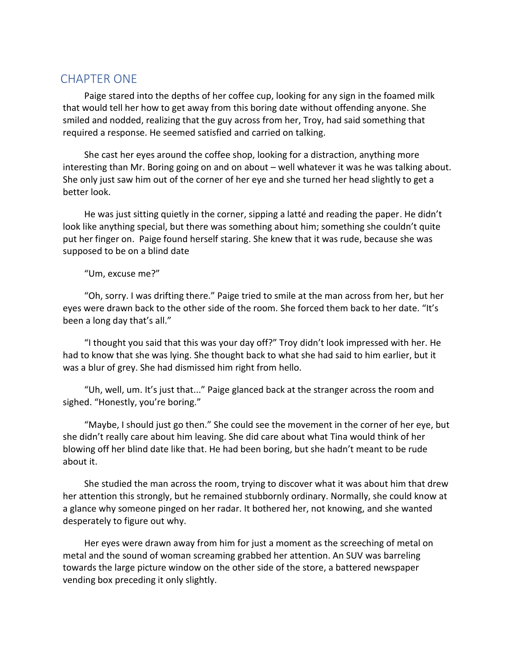## CHAPTER ONE

Paige stared into the depths of her coffee cup, looking for any sign in the foamed milk that would tell her how to get away from this boring date without offending anyone. She smiled and nodded, realizing that the guy across from her, Troy, had said something that required a response. He seemed satisfied and carried on talking.

She cast her eyes around the coffee shop, looking for a distraction, anything more interesting than Mr. Boring going on and on about – well whatever it was he was talking about. She only just saw him out of the corner of her eye and she turned her head slightly to get a better look.

He was just sitting quietly in the corner, sipping a latté and reading the paper. He didn't look like anything special, but there was something about him; something she couldn't quite put her finger on. Paige found herself staring. She knew that it was rude, because she was supposed to be on a blind date

"Um, excuse me?"

"Oh, sorry. I was drifting there." Paige tried to smile at the man across from her, but her eyes were drawn back to the other side of the room. She forced them back to her date. "It's been a long day that's all."

"I thought you said that this was your day off?" Troy didn't look impressed with her. He had to know that she was lying. She thought back to what she had said to him earlier, but it was a blur of grey. She had dismissed him right from hello.

"Uh, well, um. It's just that..." Paige glanced back at the stranger across the room and sighed. "Honestly, you're boring."

"Maybe, I should just go then." She could see the movement in the corner of her eye, but she didn't really care about him leaving. She did care about what Tina would think of her blowing off her blind date like that. He had been boring, but she hadn't meant to be rude about it.

She studied the man across the room, trying to discover what it was about him that drew her attention this strongly, but he remained stubbornly ordinary. Normally, she could know at a glance why someone pinged on her radar. It bothered her, not knowing, and she wanted desperately to figure out why.

Her eyes were drawn away from him for just a moment as the screeching of metal on metal and the sound of woman screaming grabbed her attention. An SUV was barreling towards the large picture window on the other side of the store, a battered newspaper vending box preceding it only slightly.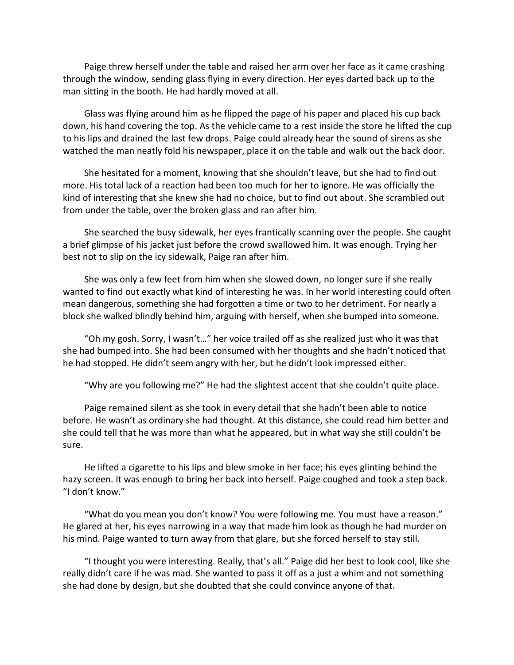Paige threw herself under the table and raised her arm over her face as it came crashing through the window, sending glass flying in every direction. Her eyes darted back up to the man sitting in the booth. He had hardly moved at all.

Glass was flying around him as he flipped the page of his paper and placed his cup back down, his hand covering the top. As the vehicle came to a rest inside the store he lifted the cup to his lips and drained the last few drops. Paige could already hear the sound of sirens as she watched the man neatly fold his newspaper, place it on the table and walk out the back door.

She hesitated for a moment, knowing that she shouldn't leave, but she had to find out more. His total lack of a reaction had been too much for her to ignore. He was officially the kind of interesting that she knew she had no choice, but to find out about. She scrambled out from under the table, over the broken glass and ran after him.

She searched the busy sidewalk, her eyes frantically scanning over the people. She caught a brief glimpse of his jacket just before the crowd swallowed him. It was enough. Trying her best not to slip on the icy sidewalk, Paige ran after him.

She was only a few feet from him when she slowed down, no longer sure if she really wanted to find out exactly what kind of interesting he was. In her world interesting could often mean dangerous, something she had forgotten a time or two to her detriment. For nearly a block she walked blindly behind him, arguing with herself, when she bumped into someone.

"Oh my gosh. Sorry, I wasn't…" her voice trailed off as she realized just who it was that she had bumped into. She had been consumed with her thoughts and she hadn't noticed that he had stopped. He didn't seem angry with her, but he didn't look impressed either.

"Why are you following me?" He had the slightest accent that she couldn't quite place.

Paige remained silent as she took in every detail that she hadn't been able to notice before. He wasn't as ordinary she had thought. At this distance, she could read him better and she could tell that he was more than what he appeared, but in what way she still couldn't be sure.

He lifted a cigarette to his lips and blew smoke in her face; his eyes glinting behind the hazy screen. It was enough to bring her back into herself. Paige coughed and took a step back. "I don't know."

"What do you mean you don't know? You were following me. You must have a reason." He glared at her, his eyes narrowing in a way that made him look as though he had murder on his mind. Paige wanted to turn away from that glare, but she forced herself to stay still.

"I thought you were interesting. Really, that's all." Paige did her best to look cool, like she really didn't care if he was mad. She wanted to pass it off as a just a whim and not something she had done by design, but she doubted that she could convince anyone of that.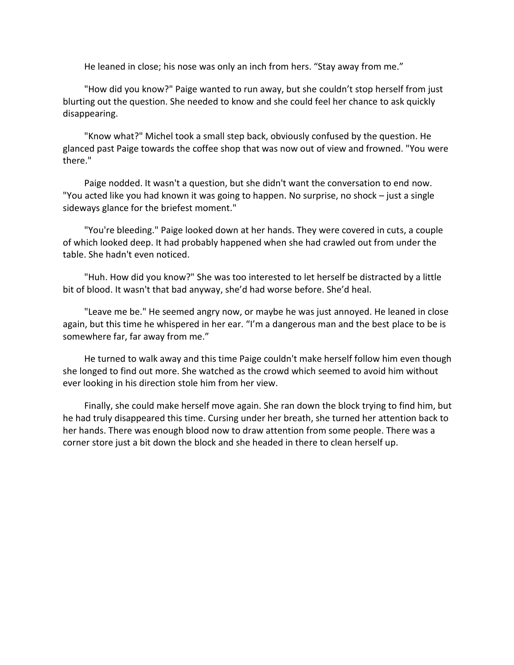He leaned in close; his nose was only an inch from hers. "Stay away from me."

"How did you know?" Paige wanted to run away, but she couldn't stop herself from just blurting out the question. She needed to know and she could feel her chance to ask quickly disappearing.

"Know what?" Michel took a small step back, obviously confused by the question. He glanced past Paige towards the coffee shop that was now out of view and frowned. "You were there."

Paige nodded. It wasn't a question, but she didn't want the conversation to end now. "You acted like you had known it was going to happen. No surprise, no shock – just a single sideways glance for the briefest moment."

"You're bleeding." Paige looked down at her hands. They were covered in cuts, a couple of which looked deep. It had probably happened when she had crawled out from under the table. She hadn't even noticed.

"Huh. How did you know?" She was too interested to let herself be distracted by a little bit of blood. It wasn't that bad anyway, she'd had worse before. She'd heal.

"Leave me be." He seemed angry now, or maybe he was just annoyed. He leaned in close again, but this time he whispered in her ear. "I'm a dangerous man and the best place to be is somewhere far, far away from me."

He turned to walk away and this time Paige couldn't make herself follow him even though she longed to find out more. She watched as the crowd which seemed to avoid him without ever looking in his direction stole him from her view.

Finally, she could make herself move again. She ran down the block trying to find him, but he had truly disappeared this time. Cursing under her breath, she turned her attention back to her hands. There was enough blood now to draw attention from some people. There was a corner store just a bit down the block and she headed in there to clean herself up.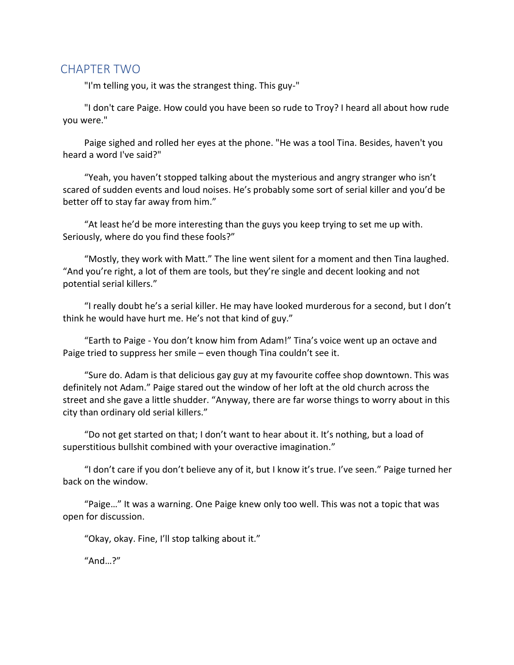## CHAPTER TWO

"I'm telling you, it was the strangest thing. This guy-"

"I don't care Paige. How could you have been so rude to Troy? I heard all about how rude you were."

Paige sighed and rolled her eyes at the phone. "He was a tool Tina. Besides, haven't you heard a word I've said?"

"Yeah, you haven't stopped talking about the mysterious and angry stranger who isn't scared of sudden events and loud noises. He's probably some sort of serial killer and you'd be better off to stay far away from him."

"At least he'd be more interesting than the guys you keep trying to set me up with. Seriously, where do you find these fools?"

"Mostly, they work with Matt." The line went silent for a moment and then Tina laughed. "And you're right, a lot of them are tools, but they're single and decent looking and not potential serial killers."

"I really doubt he's a serial killer. He may have looked murderous for a second, but I don't think he would have hurt me. He's not that kind of guy."

"Earth to Paige - You don't know him from Adam!" Tina's voice went up an octave and Paige tried to suppress her smile – even though Tina couldn't see it.

"Sure do. Adam is that delicious gay guy at my favourite coffee shop downtown. This was definitely not Adam." Paige stared out the window of her loft at the old church across the street and she gave a little shudder. "Anyway, there are far worse things to worry about in this city than ordinary old serial killers."

"Do not get started on that; I don't want to hear about it. It's nothing, but a load of superstitious bullshit combined with your overactive imagination."

"I don't care if you don't believe any of it, but I know it's true. I've seen." Paige turned her back on the window.

"Paige…" It was a warning. One Paige knew only too well. This was not a topic that was open for discussion.

"Okay, okay. Fine, I'll stop talking about it."

"And…?"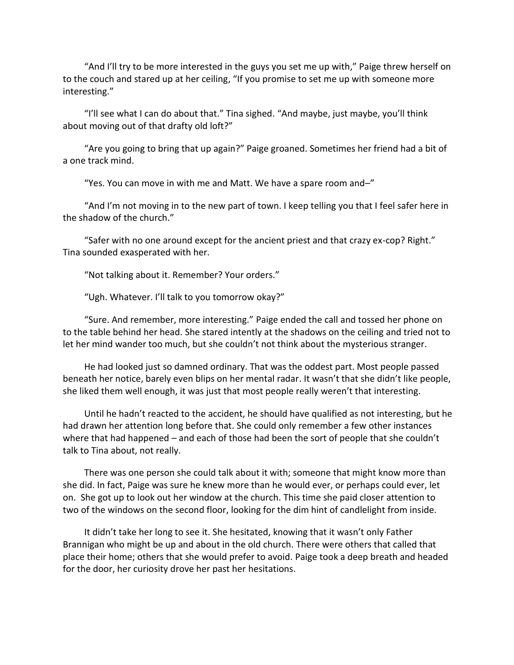"And I'll try to be more interested in the guys you set me up with," Paige threw herself on to the couch and stared up at her ceiling, "If you promise to set me up with someone more interesting."

"I'll see what I can do about that." Tina sighed. "And maybe, just maybe, you'll think about moving out of that drafty old loft?"

"Are you going to bring that up again?" Paige groaned. Sometimes her friend had a bit of a one track mind.

"Yes. You can move in with me and Matt. We have a spare room and–"

"And I'm not moving in to the new part of town. I keep telling you that I feel safer here in the shadow of the church."

"Safer with no one around except for the ancient priest and that crazy ex-cop? Right." Tina sounded exasperated with her.

"Not talking about it. Remember? Your orders."

"Ugh. Whatever. I'll talk to you tomorrow okay?"

"Sure. And remember, more interesting." Paige ended the call and tossed her phone on to the table behind her head. She stared intently at the shadows on the ceiling and tried not to let her mind wander too much, but she couldn't not think about the mysterious stranger.

He had looked just so damned ordinary. That was the oddest part. Most people passed beneath her notice, barely even blips on her mental radar. It wasn't that she didn't like people, she liked them well enough, it was just that most people really weren't that interesting.

Until he hadn't reacted to the accident, he should have qualified as not interesting, but he had drawn her attention long before that. She could only remember a few other instances where that had happened – and each of those had been the sort of people that she couldn't talk to Tina about, not really.

There was one person she could talk about it with; someone that might know more than she did. In fact, Paige was sure he knew more than he would ever, or perhaps could ever, let on. She got up to look out her window at the church. This time she paid closer attention to two of the windows on the second floor, looking for the dim hint of candlelight from inside.

It didn't take her long to see it. She hesitated, knowing that it wasn't only Father Brannigan who might be up and about in the old church. There were others that called that place their home; others that she would prefer to avoid. Paige took a deep breath and headed for the door, her curiosity drove her past her hesitations.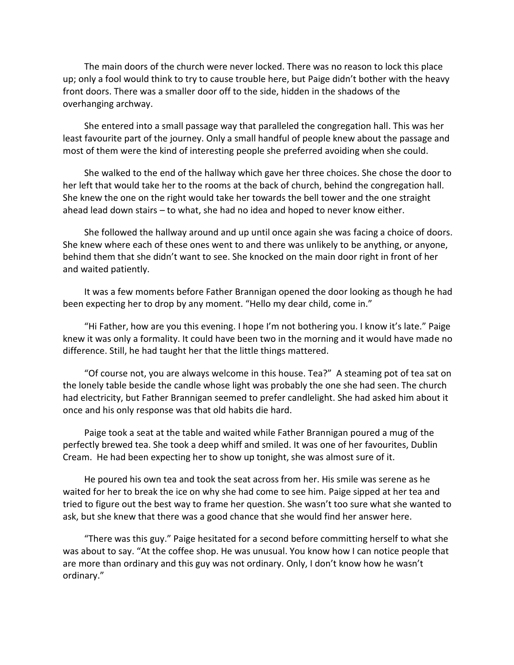The main doors of the church were never locked. There was no reason to lock this place up; only a fool would think to try to cause trouble here, but Paige didn't bother with the heavy front doors. There was a smaller door off to the side, hidden in the shadows of the overhanging archway.

She entered into a small passage way that paralleled the congregation hall. This was her least favourite part of the journey. Only a small handful of people knew about the passage and most of them were the kind of interesting people she preferred avoiding when she could.

She walked to the end of the hallway which gave her three choices. She chose the door to her left that would take her to the rooms at the back of church, behind the congregation hall. She knew the one on the right would take her towards the bell tower and the one straight ahead lead down stairs – to what, she had no idea and hoped to never know either.

She followed the hallway around and up until once again she was facing a choice of doors. She knew where each of these ones went to and there was unlikely to be anything, or anyone, behind them that she didn't want to see. She knocked on the main door right in front of her and waited patiently.

It was a few moments before Father Brannigan opened the door looking as though he had been expecting her to drop by any moment. "Hello my dear child, come in."

"Hi Father, how are you this evening. I hope I'm not bothering you. I know it's late." Paige knew it was only a formality. It could have been two in the morning and it would have made no difference. Still, he had taught her that the little things mattered.

"Of course not, you are always welcome in this house. Tea?" A steaming pot of tea sat on the lonely table beside the candle whose light was probably the one she had seen. The church had electricity, but Father Brannigan seemed to prefer candlelight. She had asked him about it once and his only response was that old habits die hard.

Paige took a seat at the table and waited while Father Brannigan poured a mug of the perfectly brewed tea. She took a deep whiff and smiled. It was one of her favourites, Dublin Cream. He had been expecting her to show up tonight, she was almost sure of it.

He poured his own tea and took the seat across from her. His smile was serene as he waited for her to break the ice on why she had come to see him. Paige sipped at her tea and tried to figure out the best way to frame her question. She wasn't too sure what she wanted to ask, but she knew that there was a good chance that she would find her answer here.

"There was this guy." Paige hesitated for a second before committing herself to what she was about to say. "At the coffee shop. He was unusual. You know how I can notice people that are more than ordinary and this guy was not ordinary. Only, I don't know how he wasn't ordinary."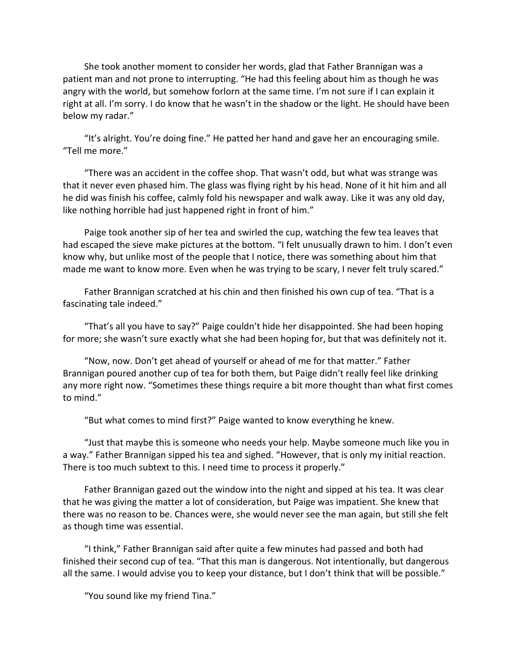She took another moment to consider her words, glad that Father Brannigan was a patient man and not prone to interrupting. "He had this feeling about him as though he was angry with the world, but somehow forlorn at the same time. I'm not sure if I can explain it right at all. I'm sorry. I do know that he wasn't in the shadow or the light. He should have been below my radar."

"It's alright. You're doing fine." He patted her hand and gave her an encouraging smile. "Tell me more."

"There was an accident in the coffee shop. That wasn't odd, but what was strange was that it never even phased him. The glass was flying right by his head. None of it hit him and all he did was finish his coffee, calmly fold his newspaper and walk away. Like it was any old day, like nothing horrible had just happened right in front of him."

Paige took another sip of her tea and swirled the cup, watching the few tea leaves that had escaped the sieve make pictures at the bottom. "I felt unusually drawn to him. I don't even know why, but unlike most of the people that I notice, there was something about him that made me want to know more. Even when he was trying to be scary, I never felt truly scared."

Father Brannigan scratched at his chin and then finished his own cup of tea. "That is a fascinating tale indeed."

"That's all you have to say?" Paige couldn't hide her disappointed. She had been hoping for more; she wasn't sure exactly what she had been hoping for, but that was definitely not it.

"Now, now. Don't get ahead of yourself or ahead of me for that matter." Father Brannigan poured another cup of tea for both them, but Paige didn't really feel like drinking any more right now. "Sometimes these things require a bit more thought than what first comes to mind."

"But what comes to mind first?" Paige wanted to know everything he knew.

"Just that maybe this is someone who needs your help. Maybe someone much like you in a way." Father Brannigan sipped his tea and sighed. "However, that is only my initial reaction. There is too much subtext to this. I need time to process it properly."

Father Brannigan gazed out the window into the night and sipped at his tea. It was clear that he was giving the matter a lot of consideration, but Paige was impatient. She knew that there was no reason to be. Chances were, she would never see the man again, but still she felt as though time was essential.

"I think," Father Brannigan said after quite a few minutes had passed and both had finished their second cup of tea. "That this man is dangerous. Not intentionally, but dangerous all the same. I would advise you to keep your distance, but I don't think that will be possible."

"You sound like my friend Tina."